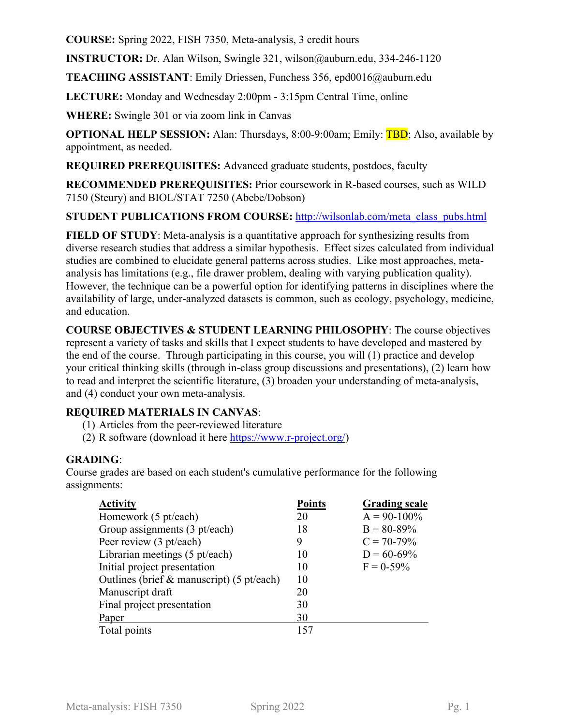**COURSE:** Spring 2022, FISH 7350, Meta-analysis, 3 credit hours

**INSTRUCTOR:** Dr. Alan Wilson, Swingle 321, wilson@auburn.edu, 334-246-1120

**TEACHING ASSISTANT**: Emily Driessen, Funchess 356, epd0016@auburn.edu

**LECTURE:** Monday and Wednesday 2:00pm - 3:15pm Central Time, online

**WHERE:** Swingle 301 or via zoom link in Canvas

**OPTIONAL HELP SESSION:** Alan: Thursdays, 8:00-9:00am; Emily: **TBD**; Also, available by appointment, as needed.

**REQUIRED PREREQUISITES:** Advanced graduate students, postdocs, faculty

**RECOMMENDED PREREQUISITES:** Prior coursework in R-based courses, such as WILD 7150 (Steury) and BIOL/STAT 7250 (Abebe/Dobson)

**STUDENT PUBLICATIONS FROM COURSE:** http://wilsonlab.com/meta\_class\_pubs.html

**FIELD OF STUDY**: Meta-analysis is a quantitative approach for synthesizing results from diverse research studies that address a similar hypothesis. Effect sizes calculated from individual studies are combined to elucidate general patterns across studies. Like most approaches, metaanalysis has limitations (e.g., file drawer problem, dealing with varying publication quality). However, the technique can be a powerful option for identifying patterns in disciplines where the availability of large, under-analyzed datasets is common, such as ecology, psychology, medicine, and education.

**COURSE OBJECTIVES & STUDENT LEARNING PHILOSOPHY**: The course objectives represent a variety of tasks and skills that I expect students to have developed and mastered by the end of the course. Through participating in this course, you will (1) practice and develop your critical thinking skills (through in-class group discussions and presentations), (2) learn how to read and interpret the scientific literature, (3) broaden your understanding of meta-analysis, and (4) conduct your own meta-analysis.

### **REQUIRED MATERIALS IN CANVAS**:

- (1) Articles from the peer-reviewed literature
- (2) R software (download it here https://www.r-project.org/)

#### **GRADING**:

Course grades are based on each student's cumulative performance for the following assignments:

| <b>Activity</b>                              | <b>Points</b> | <b>Grading scale</b> |
|----------------------------------------------|---------------|----------------------|
| Homework (5 pt/each)                         | 20            | $A = 90-100\%$       |
| Group assignments (3 pt/each)                | 18            | $B = 80 - 89\%$      |
| Peer review (3 pt/each)                      | 9             | $C = 70-79%$         |
| Librarian meetings (5 pt/each)               | 10            | $D = 60 - 69\%$      |
| Initial project presentation                 | 10            | $F = 0.59\%$         |
| Outlines (brief $\&$ manuscript) (5 pt/each) | 10            |                      |
| Manuscript draft                             | 20            |                      |
| Final project presentation                   | 30            |                      |
| Paper                                        | 30            |                      |
| Total points                                 | 157           |                      |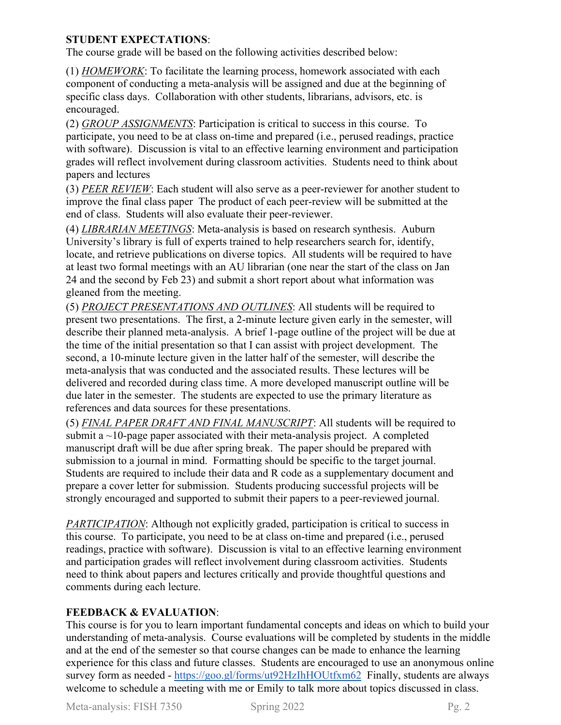### **STUDENT EXPECTATIONS**:

The course grade will be based on the following activities described below:

(1) *HOMEWORK*: To facilitate the learning process, homework associated with each component of conducting a meta-analysis will be assigned and due at the beginning of specific class days. Collaboration with other students, librarians, advisors, etc. is encouraged.

(2) *GROUP ASSIGNMENTS*: Participation is critical to success in this course. To participate, you need to be at class on-time and prepared (i.e., perused readings, practice with software). Discussion is vital to an effective learning environment and participation grades will reflect involvement during classroom activities. Students need to think about papers and lectures

(3) *PEER REVIEW*: Each student will also serve as a peer-reviewer for another student to improve the final class paper The product of each peer-review will be submitted at the end of class. Students will also evaluate their peer-reviewer.

(4) *LIBRARIAN MEETINGS*: Meta-analysis is based on research synthesis. Auburn University's library is full of experts trained to help researchers search for, identify, locate, and retrieve publications on diverse topics. All students will be required to have at least two formal meetings with an AU librarian (one near the start of the class on Jan 24 and the second by Feb 23) and submit a short report about what information was gleaned from the meeting.

(5) *PROJECT PRESENTATIONS AND OUTLINES*: All students will be required to present two presentations. The first, a 2-minute lecture given early in the semester, will describe their planned meta-analysis. A brief 1-page outline of the project will be due at the time of the initial presentation so that I can assist with project development. The second, a 10-minute lecture given in the latter half of the semester, will describe the meta-analysis that was conducted and the associated results. These lectures will be delivered and recorded during class time. A more developed manuscript outline will be due later in the semester. The students are expected to use the primary literature as references and data sources for these presentations.

(5) *FINAL PAPER DRAFT AND FINAL MANUSCRIPT*: All students will be required to submit a  $\sim$ 10-page paper associated with their meta-analysis project. A completed manuscript draft will be due after spring break. The paper should be prepared with submission to a journal in mind. Formatting should be specific to the target journal. Students are required to include their data and R code as a supplementary document and prepare a cover letter for submission. Students producing successful projects will be strongly encouraged and supported to submit their papers to a peer-reviewed journal.

*PARTICIPATION*: Although not explicitly graded, participation is critical to success in this course. To participate, you need to be at class on-time and prepared (i.e., perused readings, practice with software). Discussion is vital to an effective learning environment and participation grades will reflect involvement during classroom activities. Students need to think about papers and lectures critically and provide thoughtful questions and comments during each lecture.

# **FEEDBACK & EVALUATION**:

This course is for you to learn important fundamental concepts and ideas on which to build your understanding of meta-analysis. Course evaluations will be completed by students in the middle and at the end of the semester so that course changes can be made to enhance the learning experience for this class and future classes. Students are encouraged to use an anonymous online survey form as needed - https://goo.gl/forms/ut92HzIhHOUtfxm62 Finally, students are always welcome to schedule a meeting with me or Emily to talk more about topics discussed in class.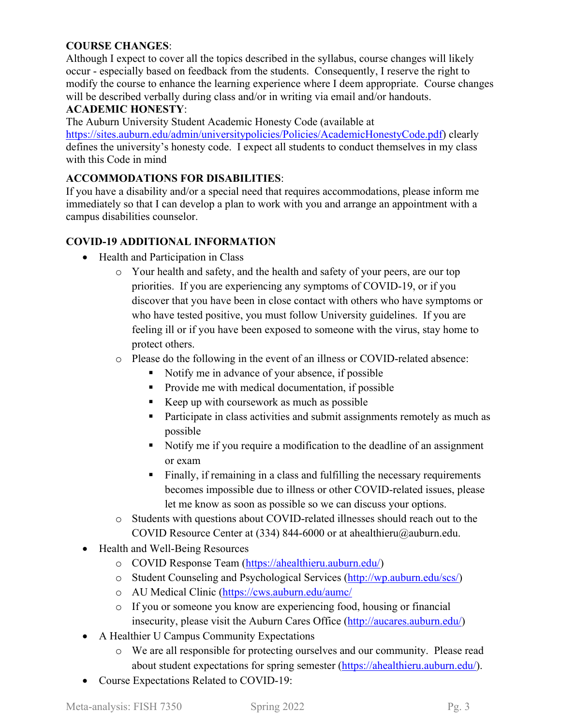## **COURSE CHANGES**:

Although I expect to cover all the topics described in the syllabus, course changes will likely occur - especially based on feedback from the students. Consequently, I reserve the right to modify the course to enhance the learning experience where I deem appropriate. Course changes will be described verbally during class and/or in writing via email and/or handouts.

#### **ACADEMIC HONESTY**:

The Auburn University Student Academic Honesty Code (available at

https://sites.auburn.edu/admin/universitypolicies/Policies/AcademicHonestyCode.pdf) clearly defines the university's honesty code. I expect all students to conduct themselves in my class with this Code in mind

### **ACCOMMODATIONS FOR DISABILITIES**:

If you have a disability and/or a special need that requires accommodations, please inform me immediately so that I can develop a plan to work with you and arrange an appointment with a campus disabilities counselor.

### **COVID-19 ADDITIONAL INFORMATION**

- Health and Participation in Class
	- o Your health and safety, and the health and safety of your peers, are our top priorities. If you are experiencing any symptoms of COVID-19, or if you discover that you have been in close contact with others who have symptoms or who have tested positive, you must follow University guidelines. If you are feeling ill or if you have been exposed to someone with the virus, stay home to protect others.
	- o Please do the following in the event of an illness or COVID-related absence:
		- Notify me in advance of your absence, if possible
		- **Provide me with medical documentation, if possible**
		- Keep up with coursework as much as possible
		- **Participate in class activities and submit assignments remotely as much as** possible
		- Notify me if you require a modification to the deadline of an assignment or exam
		- Finally, if remaining in a class and fulfilling the necessary requirements becomes impossible due to illness or other COVID-related issues, please let me know as soon as possible so we can discuss your options.
	- o Students with questions about COVID-related illnesses should reach out to the COVID Resource Center at (334) 844-6000 or at ahealthieru@auburn.edu.
- Health and Well-Being Resources
	- o COVID Response Team (https://ahealthieru.auburn.edu/)
	- o Student Counseling and Psychological Services (http://wp.auburn.edu/scs/)
	- o AU Medical Clinic (https://cws.auburn.edu/aumc/
	- o If you or someone you know are experiencing food, housing or financial insecurity, please visit the Auburn Cares Office (http://aucares.auburn.edu/)
- A Healthier U Campus Community Expectations
	- o We are all responsible for protecting ourselves and our community. Please read about student expectations for spring semester (https://ahealthieru.auburn.edu/).
- Course Expectations Related to COVID-19: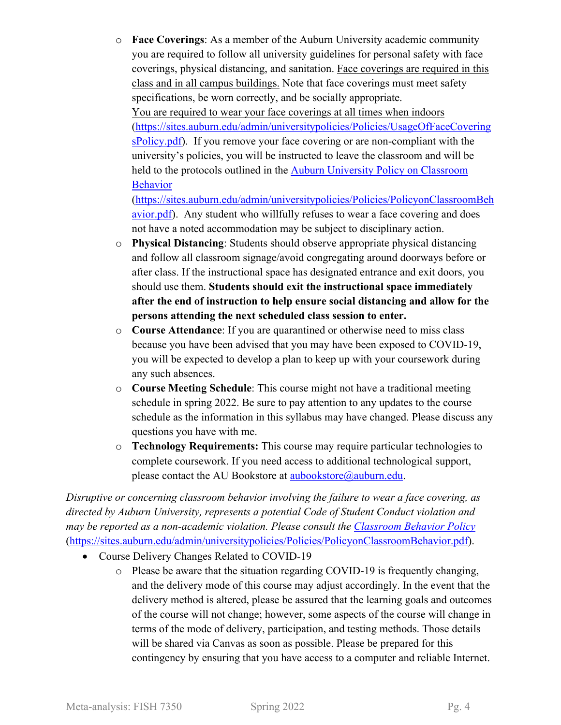o **Face Coverings**: As a member of the Auburn University academic community you are required to follow all university guidelines for personal safety with face coverings, physical distancing, and sanitation. Face coverings are required in this class and in all campus buildings. Note that face coverings must meet safety specifications, be worn correctly, and be socially appropriate. You are required to wear your face coverings at all times when indoors (https://sites.auburn.edu/admin/universitypolicies/Policies/UsageOfFaceCovering sPolicy.pdf). If you remove your face covering or are non-compliant with the university's policies, you will be instructed to leave the classroom and will be held to the protocols outlined in the Auburn University Policy on Classroom Behavior

(https://sites.auburn.edu/admin/universitypolicies/Policies/PolicyonClassroomBeh avior.pdf). Any student who willfully refuses to wear a face covering and does not have a noted accommodation may be subject to disciplinary action.

- o **Physical Distancing**: Students should observe appropriate physical distancing and follow all classroom signage/avoid congregating around doorways before or after class. If the instructional space has designated entrance and exit doors, you should use them. **Students should exit the instructional space immediately after the end of instruction to help ensure social distancing and allow for the persons attending the next scheduled class session to enter.**
- o **Course Attendance**: If you are quarantined or otherwise need to miss class because you have been advised that you may have been exposed to COVID-19, you will be expected to develop a plan to keep up with your coursework during any such absences.
- o **Course Meeting Schedule**: This course might not have a traditional meeting schedule in spring 2022. Be sure to pay attention to any updates to the course schedule as the information in this syllabus may have changed. Please discuss any questions you have with me.
- o **Technology Requirements:** This course may require particular technologies to complete coursework. If you need access to additional technological support, please contact the AU Bookstore at aubookstore@auburn.edu.

*Disruptive or concerning classroom behavior involving the failure to wear a face covering, as directed by Auburn University, represents a potential Code of Student Conduct violation and may be reported as a non-academic violation. Please consult the Classroom Behavior Policy* (https://sites.auburn.edu/admin/universitypolicies/Policies/PolicyonClassroomBehavior.pdf).

- Course Delivery Changes Related to COVID-19
	- o Please be aware that the situation regarding COVID-19 is frequently changing, and the delivery mode of this course may adjust accordingly. In the event that the delivery method is altered, please be assured that the learning goals and outcomes of the course will not change; however, some aspects of the course will change in terms of the mode of delivery, participation, and testing methods. Those details will be shared via Canvas as soon as possible. Please be prepared for this contingency by ensuring that you have access to a computer and reliable Internet.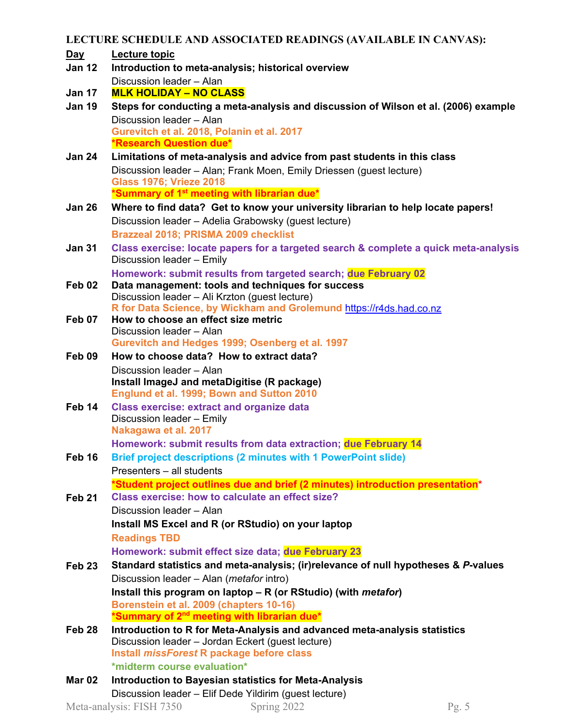**LECTURE SCHEDULE AND ASSOCIATED READINGS (AVAILABLE IN CANVAS):** 

- **Day Lecture topic**
- **Jan 12 Introduction to meta-analysis; historical overview** Discussion leader – Alan
- **Jan 17 MLK HOLIDAY NO CLASS**
- **Jan 19 Steps for conducting a meta-analysis and discussion of Wilson et al. (2006) example** Discussion leader – Alan **Gurevitch et al. 2018, Polanin et al. 2017 \*Research Question due\***
- **Jan 24 Limitations of meta-analysis and advice from past students in this class** Discussion leader – Alan; Frank Moen, Emily Driessen (guest lecture) **Glass 1976; Vrieze 2018 \*Summary of 1st meeting with librarian due\***
- **Jan 26 Where to find data? Get to know your university librarian to help locate papers!**  Discussion leader – Adelia Grabowsky (guest lecture) **Brazzeal 2018; PRISMA 2009 checklist**
- **Jan 31 Class exercise: locate papers for a targeted search & complete a quick meta-analysis**  Discussion leader – Emily **Homework: submit results from targeted search; due February 02**
- **Feb 02 Data management: tools and techniques for success** Discussion leader – Ali Krzton (guest lecture) **R for Data Science, by Wickham and Grolemund** https://r4ds.had.co.nz
- **Feb 07 How to choose an effect size metric**  Discussion leader – Alan **Gurevitch and Hedges 1999; Osenberg et al. 1997**
- **Feb 09 How to choose data? How to extract data?**  Discussion leader – Alan **Install ImageJ and metaDigitise (R package) Englund et al. 1999; Bown and Sutton 2010**
- **Feb 14 Class exercise: extract and organize data** Discussion leader – Emily **Nakagawa et al. 2017 Homework: submit results from data extraction; due February 14**
- **Feb 16 Brief project descriptions (2 minutes with 1 PowerPoint slide)** Presenters – all students **\*Student project outlines due and brief (2 minutes) introduction presentation\***
- **Feb 21 Class exercise: how to calculate an effect size?** Discussion leader – Alan **Install MS Excel and R (or RStudio) on your laptop Readings TBD**

**Homework: submit effect size data; due February 23**

- **Feb 23 Standard statistics and meta-analysis; (ir)relevance of null hypotheses &** *P***-values** Discussion leader – Alan (*metafor* intro) **Install this program on laptop – R (or RStudio) (with** *metafor***) Borenstein et al. 2009 (chapters 10-16) \*Summary of 2nd meeting with librarian due\***
- **Feb 28 Introduction to R for Meta-Analysis and advanced meta-analysis statistics** Discussion leader – Jordan Eckert (guest lecture) **Install** *missForest* **R package before class \*midterm course evaluation\***
- **Mar 02 Introduction to Bayesian statistics for Meta-Analysis** Discussion leader – Elif Dede Yildirim (guest lecture)